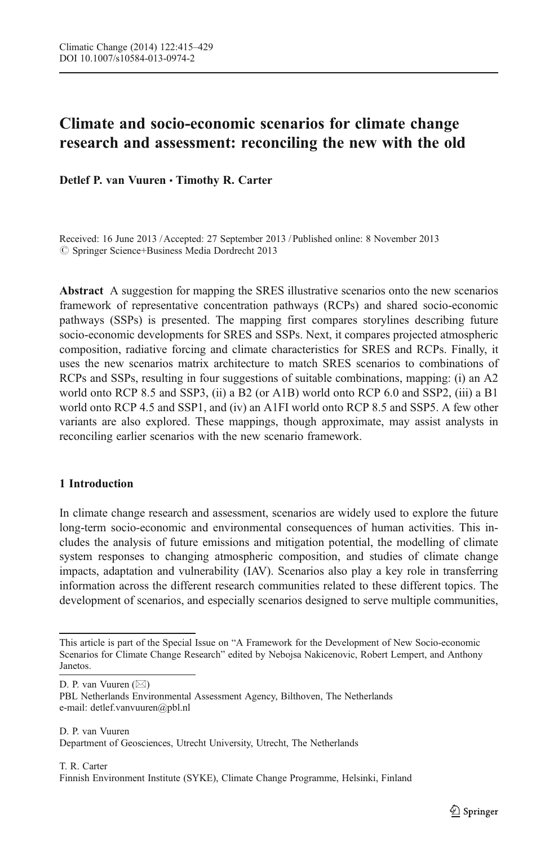# Climate and socio-economic scenarios for climate change research and assessment: reconciling the new with the old

Detlef P. van Vuuren · Timothy R. Carter

Received: 16 June 2013 / Accepted: 27 September 2013 / Published online: 8 November 2013  $\oslash$  Springer Science+Business Media Dordrecht 2013

Abstract A suggestion for mapping the SRES illustrative scenarios onto the new scenarios framework of representative concentration pathways (RCPs) and shared socio-economic pathways (SSPs) is presented. The mapping first compares storylines describing future socio-economic developments for SRES and SSPs. Next, it compares projected atmospheric composition, radiative forcing and climate characteristics for SRES and RCPs. Finally, it uses the new scenarios matrix architecture to match SRES scenarios to combinations of RCPs and SSPs, resulting in four suggestions of suitable combinations, mapping: (i) an A2 world onto RCP 8.5 and SSP3, (ii) a B2 (or A1B) world onto RCP 6.0 and SSP2, (iii) a B1 world onto RCP 4.5 and SSP1, and (iv) an A1FI world onto RCP 8.5 and SSP5. A few other variants are also explored. These mappings, though approximate, may assist analysts in reconciling earlier scenarios with the new scenario framework.

## 1 Introduction

In climate change research and assessment, scenarios are widely used to explore the future long-term socio-economic and environmental consequences of human activities. This includes the analysis of future emissions and mitigation potential, the modelling of climate system responses to changing atmospheric composition, and studies of climate change impacts, adaptation and vulnerability (IAV). Scenarios also play a key role in transferring information across the different research communities related to these different topics. The development of scenarios, and especially scenarios designed to serve multiple communities,

D. P. van Vuuren  $(\boxtimes)$ 

This article is part of the Special Issue on "A Framework for the Development of New Socio-economic Scenarios for Climate Change Research" edited by Nebojsa Nakicenovic, Robert Lempert, and Anthony Janetos.

PBL Netherlands Environmental Assessment Agency, Bilthoven, The Netherlands e-mail: detlef.vanvuuren@pbl.nl

D. P. van Vuuren Department of Geosciences, Utrecht University, Utrecht, The Netherlands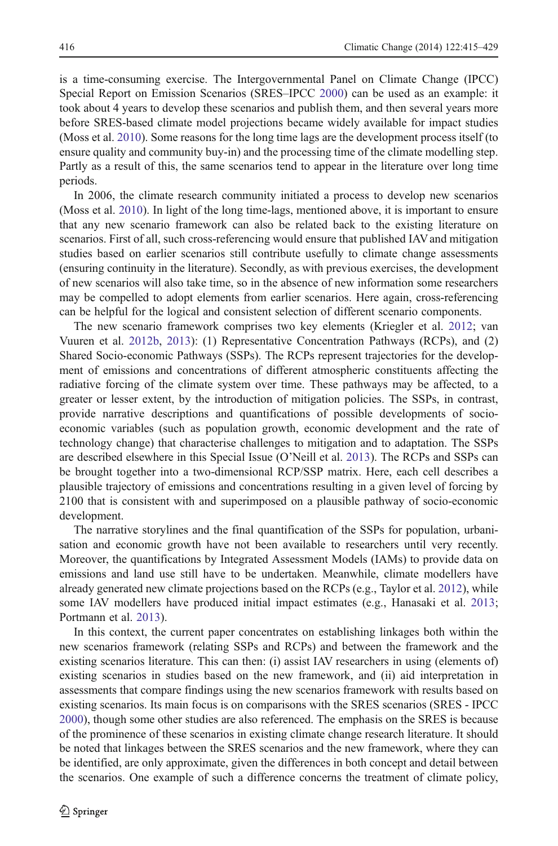is a time-consuming exercise. The Intergovernmental Panel on Climate Change (IPCC) Special Report on Emission Scenarios (SRES–IPCC [2000\)](#page-13-0) can be used as an example: it took about 4 years to develop these scenarios and publish them, and then several years more before SRES-based climate model projections became widely available for impact studies (Moss et al. [2010](#page-13-0)). Some reasons for the long time lags are the development process itself (to ensure quality and community buy-in) and the processing time of the climate modelling step. Partly as a result of this, the same scenarios tend to appear in the literature over long time periods.

In 2006, the climate research community initiated a process to develop new scenarios (Moss et al. [2010](#page-13-0)). In light of the long time-lags, mentioned above, it is important to ensure that any new scenario framework can also be related back to the existing literature on scenarios. First of all, such cross-referencing would ensure that published IAV and mitigation studies based on earlier scenarios still contribute usefully to climate change assessments (ensuring continuity in the literature). Secondly, as with previous exercises, the development of new scenarios will also take time, so in the absence of new information some researchers may be compelled to adopt elements from earlier scenarios. Here again, cross-referencing can be helpful for the logical and consistent selection of different scenario components.

The new scenario framework comprises two key elements (Kriegler et al. [2012](#page-13-0); van Vuuren et al. [2012b](#page-14-0), [2013](#page-14-0)): (1) Representative Concentration Pathways (RCPs), and (2) Shared Socio-economic Pathways (SSPs). The RCPs represent trajectories for the development of emissions and concentrations of different atmospheric constituents affecting the radiative forcing of the climate system over time. These pathways may be affected, to a greater or lesser extent, by the introduction of mitigation policies. The SSPs, in contrast, provide narrative descriptions and quantifications of possible developments of socioeconomic variables (such as population growth, economic development and the rate of technology change) that characterise challenges to mitigation and to adaptation. The SSPs are described elsewhere in this Special Issue (O'Neill et al. [2013\)](#page-13-0). The RCPs and SSPs can be brought together into a two-dimensional RCP/SSP matrix. Here, each cell describes a plausible trajectory of emissions and concentrations resulting in a given level of forcing by 2100 that is consistent with and superimposed on a plausible pathway of socio-economic development.

The narrative storylines and the final quantification of the SSPs for population, urbanisation and economic growth have not been available to researchers until very recently. Moreover, the quantifications by Integrated Assessment Models (IAMs) to provide data on emissions and land use still have to be undertaken. Meanwhile, climate modellers have already generated new climate projections based on the RCPs (e.g., Taylor et al. [2012](#page-14-0)), while some IAV modellers have produced initial impact estimates (e.g., Hanasaki et al. [2013](#page-13-0); Portmann et al. [2013](#page-14-0)).

In this context, the current paper concentrates on establishing linkages both within the new scenarios framework (relating SSPs and RCPs) and between the framework and the existing scenarios literature. This can then: (i) assist IAV researchers in using (elements of) existing scenarios in studies based on the new framework, and (ii) aid interpretation in assessments that compare findings using the new scenarios framework with results based on existing scenarios. Its main focus is on comparisons with the SRES scenarios (SRES - IPCC [2000\)](#page-13-0), though some other studies are also referenced. The emphasis on the SRES is because of the prominence of these scenarios in existing climate change research literature. It should be noted that linkages between the SRES scenarios and the new framework, where they can be identified, are only approximate, given the differences in both concept and detail between the scenarios. One example of such a difference concerns the treatment of climate policy,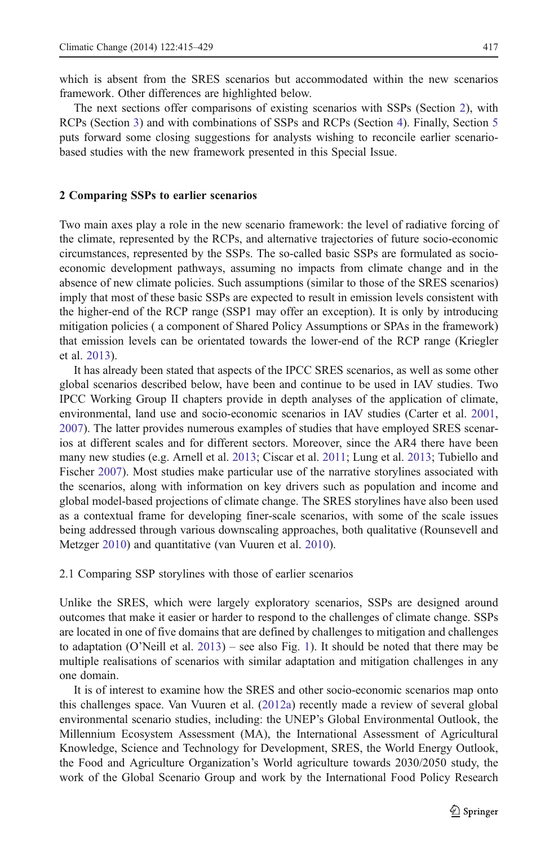<span id="page-2-0"></span>which is absent from the SRES scenarios but accommodated within the new scenarios framework. Other differences are highlighted below.

The next sections offer comparisons of existing scenarios with SSPs (Section 2), with RCPs (Section [3\)](#page-6-0) and with combinations of SSPs and RCPs (Section [4](#page-10-0)). Finally, Section [5](#page-12-0) puts forward some closing suggestions for analysts wishing to reconcile earlier scenariobased studies with the new framework presented in this Special Issue.

#### 2 Comparing SSPs to earlier scenarios

Two main axes play a role in the new scenario framework: the level of radiative forcing of the climate, represented by the RCPs, and alternative trajectories of future socio-economic circumstances, represented by the SSPs. The so-called basic SSPs are formulated as socioeconomic development pathways, assuming no impacts from climate change and in the absence of new climate policies. Such assumptions (similar to those of the SRES scenarios) imply that most of these basic SSPs are expected to result in emission levels consistent with the higher-end of the RCP range (SSP1 may offer an exception). It is only by introducing mitigation policies ( a component of Shared Policy Assumptions or SPAs in the framework) that emission levels can be orientated towards the lower-end of the RCP range (Kriegler et al. [2013](#page-13-0)).

It has already been stated that aspects of the IPCC SRES scenarios, as well as some other global scenarios described below, have been and continue to be used in IAV studies. Two IPCC Working Group II chapters provide in depth analyses of the application of climate, environmental, land use and socio-economic scenarios in IAV studies (Carter et al. [2001](#page-12-0), [2007\)](#page-12-0). The latter provides numerous examples of studies that have employed SRES scenarios at different scales and for different sectors. Moreover, since the AR4 there have been many new studies (e.g. Arnell et al. [2013](#page-12-0); Ciscar et al. [2011;](#page-13-0) Lung et al. [2013;](#page-13-0) Tubiello and Fischer [2007](#page-14-0)). Most studies make particular use of the narrative storylines associated with the scenarios, along with information on key drivers such as population and income and global model-based projections of climate change. The SRES storylines have also been used as a contextual frame for developing finer-scale scenarios, with some of the scale issues being addressed through various downscaling approaches, both qualitative (Rounsevell and Metzger [2010\)](#page-14-0) and quantitative (van Vuuren et al. [2010](#page-14-0)).

2.1 Comparing SSP storylines with those of earlier scenarios

Unlike the SRES, which were largely exploratory scenarios, SSPs are designed around outcomes that make it easier or harder to respond to the challenges of climate change. SSPs are located in one of five domains that are defined by challenges to mitigation and challenges to adaptation (O'Neill et al. [2013\)](#page-13-0) – see also Fig. [1](#page-3-0)). It should be noted that there may be multiple realisations of scenarios with similar adaptation and mitigation challenges in any one domain.

It is of interest to examine how the SRES and other socio-economic scenarios map onto this challenges space. Van Vuuren et al. ([2012a\)](#page-14-0) recently made a review of several global environmental scenario studies, including: the UNEP's Global Environmental Outlook, the Millennium Ecosystem Assessment (MA), the International Assessment of Agricultural Knowledge, Science and Technology for Development, SRES, the World Energy Outlook, the Food and Agriculture Organization's World agriculture towards 2030/2050 study, the work of the Global Scenario Group and work by the International Food Policy Research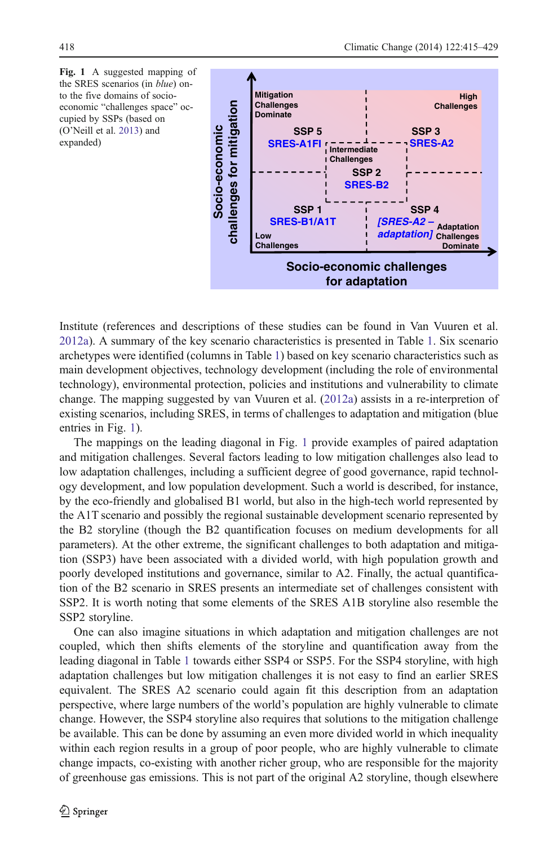<span id="page-3-0"></span>Fig. 1 A suggested mapping of the SRES scenarios (in blue) onto the five domains of socioeconomic "challenges space" occupied by SSPs (based on (O'Neill et al. [2013\)](#page-13-0) and expanded)



Institute (references and descriptions of these studies can be found in Van Vuuren et al. [2012a\)](#page-14-0). A summary of the key scenario characteristics is presented in Table [1](#page-4-0). Six scenario archetypes were identified (columns in Table [1\)](#page-4-0) based on key scenario characteristics such as main development objectives, technology development (including the role of environmental technology), environmental protection, policies and institutions and vulnerability to climate change. The mapping suggested by van Vuuren et al. [\(2012a](#page-14-0)) assists in a re-interpretion of existing scenarios, including SRES, in terms of challenges to adaptation and mitigation (blue entries in Fig. 1).

The mappings on the leading diagonal in Fig. 1 provide examples of paired adaptation and mitigation challenges. Several factors leading to low mitigation challenges also lead to low adaptation challenges, including a sufficient degree of good governance, rapid technology development, and low population development. Such a world is described, for instance, by the eco-friendly and globalised B1 world, but also in the high-tech world represented by the A1T scenario and possibly the regional sustainable development scenario represented by the B2 storyline (though the B2 quantification focuses on medium developments for all parameters). At the other extreme, the significant challenges to both adaptation and mitigation (SSP3) have been associated with a divided world, with high population growth and poorly developed institutions and governance, similar to A2. Finally, the actual quantification of the B2 scenario in SRES presents an intermediate set of challenges consistent with SSP2. It is worth noting that some elements of the SRES A1B storyline also resemble the SSP2 storyline.

One can also imagine situations in which adaptation and mitigation challenges are not coupled, which then shifts elements of the storyline and quantification away from the leading diagonal in Table [1](#page-4-0) towards either SSP4 or SSP5. For the SSP4 storyline, with high adaptation challenges but low mitigation challenges it is not easy to find an earlier SRES equivalent. The SRES A2 scenario could again fit this description from an adaptation perspective, where large numbers of the world's population are highly vulnerable to climate change. However, the SSP4 storyline also requires that solutions to the mitigation challenge be available. This can be done by assuming an even more divided world in which inequality within each region results in a group of poor people, who are highly vulnerable to climate change impacts, co-existing with another richer group, who are responsible for the majority of greenhouse gas emissions. This is not part of the original A2 storyline, though elsewhere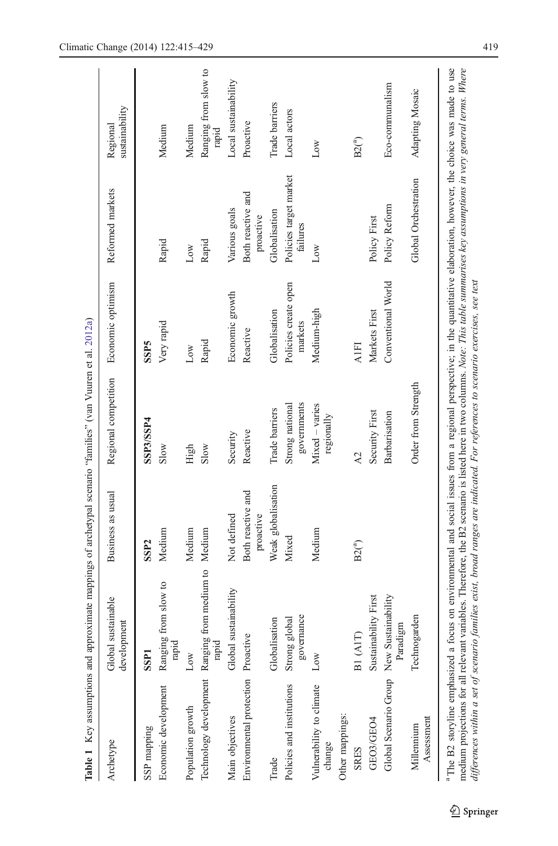<span id="page-4-0"></span>

|                                          | Table 1 Key assumptions and approximate mappings of archetypal scenario "families" (van Vuuren et al. 2012a)                                                                                                                                                                                                                                                               |                                |                                |                                 |                                    |                               |
|------------------------------------------|----------------------------------------------------------------------------------------------------------------------------------------------------------------------------------------------------------------------------------------------------------------------------------------------------------------------------------------------------------------------------|--------------------------------|--------------------------------|---------------------------------|------------------------------------|-------------------------------|
| Archetype                                | Global sustainable<br>development                                                                                                                                                                                                                                                                                                                                          | Business as usual              | Regional competition           | Economic optimism               | Reformed markets                   | sustainability<br>Regional    |
| SSP mapping                              | SSP <sub>1</sub>                                                                                                                                                                                                                                                                                                                                                           | SSP <sub>2</sub>               | SSP3/SSP4                      | <b>SSP5</b>                     |                                    |                               |
| Economic development                     | from slow to<br>Ranging<br>rapid                                                                                                                                                                                                                                                                                                                                           | Medium                         | Slow                           | Very rapid                      | Rapid                              | Medium                        |
| Population growth                        | Low                                                                                                                                                                                                                                                                                                                                                                        | Medium                         | High                           | Low                             | Low                                | Medium                        |
|                                          | Technology development Ranging from medium to Medium<br>rapid                                                                                                                                                                                                                                                                                                              |                                | Slow                           | Rapid                           | Rapid                              | Ranging from slow to<br>rapid |
| Main objectives                          | Global sustainability                                                                                                                                                                                                                                                                                                                                                      | Not defined                    | Security                       | Economic growth                 | Various goals                      | Local sustainability          |
| Environmental protection Proactive       |                                                                                                                                                                                                                                                                                                                                                                            | Both reactive and<br>proactive | Reactive                       | Reactive                        | Both reactive and<br>proactive     | Proactive                     |
| Trade                                    | Globalisation                                                                                                                                                                                                                                                                                                                                                              | Weak globalisation             | Trade barriers                 | Globalisation                   | Globalisation                      | Trade barriers                |
| Policies and institutions                | governance<br>Strong global                                                                                                                                                                                                                                                                                                                                                | Mixed                          | governments<br>Strong national | Policies create open<br>markets | Policies target market<br>failures | Local actors                  |
| Vulnerability to climate<br>change       | Low                                                                                                                                                                                                                                                                                                                                                                        | Medium                         | Mixed - varies<br>regionally   | Medium-high                     | Low                                | Low                           |
| Other mappings:                          |                                                                                                                                                                                                                                                                                                                                                                            |                                |                                |                                 |                                    |                               |
| <b>SRES</b>                              | B1(AIT)                                                                                                                                                                                                                                                                                                                                                                    | $B2(^a)$                       | A2                             | <b>A1FI</b>                     |                                    | B2 <sup>(a)</sup>             |
| GEO3/GEO4                                | Sustainability First                                                                                                                                                                                                                                                                                                                                                       |                                | Security First                 | Markets First                   | Policy First                       |                               |
| Global Scenario Group New Sustainability | Paradigm                                                                                                                                                                                                                                                                                                                                                                   |                                | Barbarisation                  | Conventional World              | Policy Reform                      | Eco-communalism               |
| Assessment<br>Millennium                 | Technogarden                                                                                                                                                                                                                                                                                                                                                               |                                | Order from Strength            |                                 | Global Orchestration               | Adapting Mosaic               |
|                                          | <sup>a</sup> The B2 storyline emphasized a focus on environmental and social issues from a regional perspective; in the quantitative elaboration, however, the choice was made to use<br>medium projections for all relevant variables. Therefore, the B2 scenario is listed here in two columns. Note: This table summarises key assumptions in very general terms. Where |                                |                                |                                 |                                    |                               |

differences within a set of scenario families exist, broad ranges are indicated. For references to scenario exercises, see text

differences within a set of scenario families exist, broad ranges are indicated. For references to scenario exercises, see text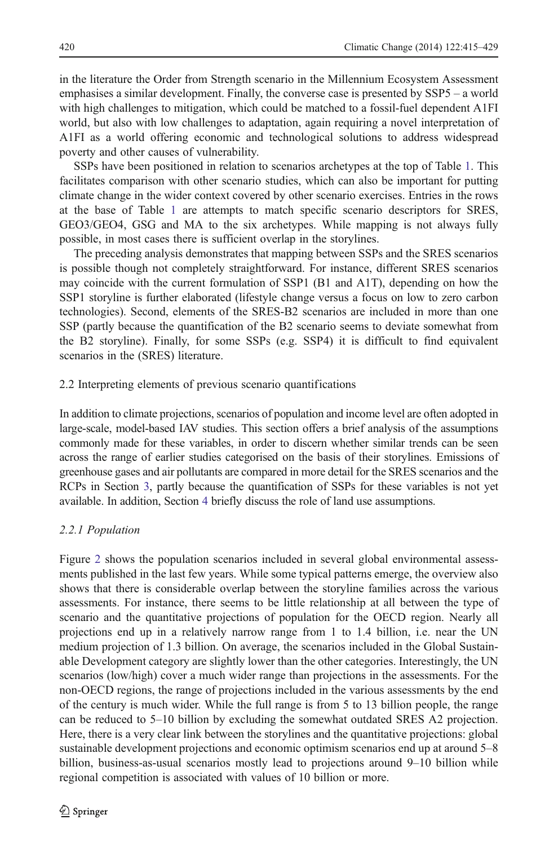in the literature the Order from Strength scenario in the Millennium Ecosystem Assessment emphasises a similar development. Finally, the converse case is presented by SSP5 – a world with high challenges to mitigation, which could be matched to a fossil-fuel dependent A1FI world, but also with low challenges to adaptation, again requiring a novel interpretation of A1FI as a world offering economic and technological solutions to address widespread poverty and other causes of vulnerability.

SSPs have been positioned in relation to scenarios archetypes at the top of Table [1.](#page-4-0) This facilitates comparison with other scenario studies, which can also be important for putting climate change in the wider context covered by other scenario exercises. Entries in the rows at the base of Table [1](#page-4-0) are attempts to match specific scenario descriptors for SRES, GEO3/GEO4, GSG and MA to the six archetypes. While mapping is not always fully possible, in most cases there is sufficient overlap in the storylines.

The preceding analysis demonstrates that mapping between SSPs and the SRES scenarios is possible though not completely straightforward. For instance, different SRES scenarios may coincide with the current formulation of SSP1 (B1 and A1T), depending on how the SSP1 storyline is further elaborated (lifestyle change versus a focus on low to zero carbon technologies). Second, elements of the SRES-B2 scenarios are included in more than one SSP (partly because the quantification of the B2 scenario seems to deviate somewhat from the B2 storyline). Finally, for some SSPs (e.g. SSP4) it is difficult to find equivalent scenarios in the (SRES) literature.

#### 2.2 Interpreting elements of previous scenario quantifications

In addition to climate projections, scenarios of population and income level are often adopted in large-scale, model-based IAV studies. This section offers a brief analysis of the assumptions commonly made for these variables, in order to discern whether similar trends can be seen across the range of earlier studies categorised on the basis of their storylines. Emissions of greenhouse gases and air pollutants are compared in more detail for the SRES scenarios and the RCPs in Section [3,](#page-6-0) partly because the quantification of SSPs for these variables is not yet available. In addition, Section [4](#page-10-0) briefly discuss the role of land use assumptions.

## 2.2.1 Population

Figure [2](#page-6-0) shows the population scenarios included in several global environmental assessments published in the last few years. While some typical patterns emerge, the overview also shows that there is considerable overlap between the storyline families across the various assessments. For instance, there seems to be little relationship at all between the type of scenario and the quantitative projections of population for the OECD region. Nearly all projections end up in a relatively narrow range from 1 to 1.4 billion, i.e. near the UN medium projection of 1.3 billion. On average, the scenarios included in the Global Sustainable Development category are slightly lower than the other categories. Interestingly, the UN scenarios (low/high) cover a much wider range than projections in the assessments. For the non-OECD regions, the range of projections included in the various assessments by the end of the century is much wider. While the full range is from 5 to 13 billion people, the range can be reduced to 5–10 billion by excluding the somewhat outdated SRES A2 projection. Here, there is a very clear link between the storylines and the quantitative projections: global sustainable development projections and economic optimism scenarios end up at around 5–8 billion, business-as-usual scenarios mostly lead to projections around 9–10 billion while regional competition is associated with values of 10 billion or more.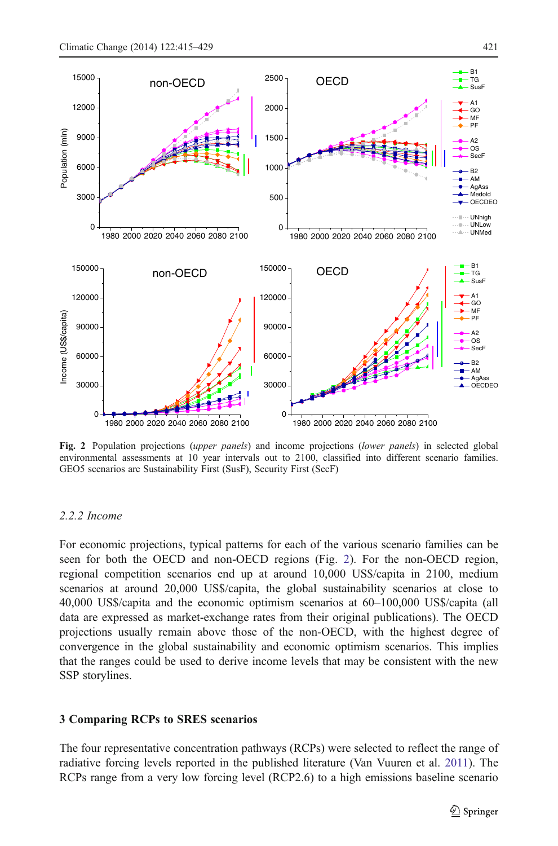<span id="page-6-0"></span>

Fig. 2 Population projections (upper panels) and income projections (lower panels) in selected global environmental assessments at 10 year intervals out to 2100, classified into different scenario families. GEO5 scenarios are Sustainability First (SusF), Security First (SecF)

#### 2.2.2 Income

For economic projections, typical patterns for each of the various scenario families can be seen for both the OECD and non-OECD regions (Fig. 2). For the non-OECD region, regional competition scenarios end up at around 10,000 US\$/capita in 2100, medium scenarios at around 20,000 US\$/capita, the global sustainability scenarios at close to 40,000 US\$/capita and the economic optimism scenarios at 60–100,000 US\$/capita (all data are expressed as market-exchange rates from their original publications). The OECD projections usually remain above those of the non-OECD, with the highest degree of convergence in the global sustainability and economic optimism scenarios. This implies that the ranges could be used to derive income levels that may be consistent with the new SSP storylines.

## 3 Comparing RCPs to SRES scenarios

The four representative concentration pathways (RCPs) were selected to reflect the range of radiative forcing levels reported in the published literature (Van Vuuren et al. [2011](#page-14-0)). The RCPs range from a very low forcing level (RCP2.6) to a high emissions baseline scenario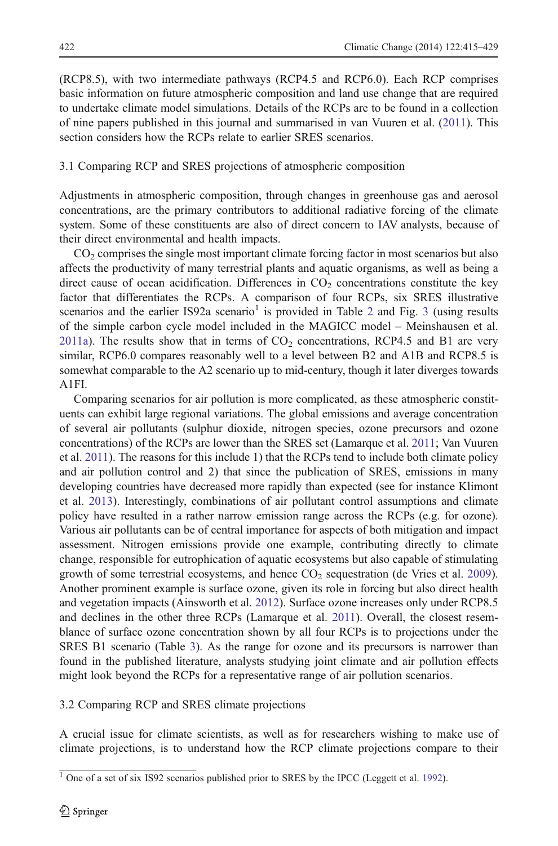<span id="page-7-0"></span>(RCP8.5), with two intermediate pathways (RCP4.5 and RCP6.0). Each RCP comprises basic information on future atmospheric composition and land use change that are required to undertake climate model simulations. Details of the RCPs are to be found in a collection of nine papers published in this journal and summarised in van Vuuren et al. ([2011](#page-14-0)). This section considers how the RCPs relate to earlier SRES scenarios.

## 3.1 Comparing RCP and SRES projections of atmospheric composition

Adjustments in atmospheric composition, through changes in greenhouse gas and aerosol concentrations, are the primary contributors to additional radiative forcing of the climate system. Some of these constituents are also of direct concern to IAV analysts, because of their direct environmental and health impacts.

 $CO<sub>2</sub>$  comprises the single most important climate forcing factor in most scenarios but also affects the productivity of many terrestrial plants and aquatic organisms, as well as being a direct cause of ocean acidification. Differences in  $CO<sub>2</sub>$  concentrations constitute the key factor that differentiates the RCPs. A comparison of four RCPs, six SRES illustrative scenarios and the earlier IS9[2](#page-8-0)a scenario<sup>1</sup> is provided in Table 2 and Fig. [3](#page-8-0) (using results of the simple carbon cycle model included in the MAGICC model – Meinshausen et al. [2011a\)](#page-13-0). The results show that in terms of  $CO<sub>2</sub>$  concentrations, RCP4.5 and B1 are very similar, RCP6.0 compares reasonably well to a level between B2 and A1B and RCP8.5 is somewhat comparable to the A2 scenario up to mid-century, though it later diverges towards A1FI.

Comparing scenarios for air pollution is more complicated, as these atmospheric constituents can exhibit large regional variations. The global emissions and average concentration of several air pollutants (sulphur dioxide, nitrogen species, ozone precursors and ozone concentrations) of the RCPs are lower than the SRES set (Lamarque et al. [2011](#page-13-0); Van Vuuren et al. [2011\)](#page-14-0). The reasons for this include 1) that the RCPs tend to include both climate policy and air pollution control and 2) that since the publication of SRES, emissions in many developing countries have decreased more rapidly than expected (see for instance Klimont et al. [2013](#page-13-0)). Interestingly, combinations of air pollutant control assumptions and climate policy have resulted in a rather narrow emission range across the RCPs (e.g. for ozone). Various air pollutants can be of central importance for aspects of both mitigation and impact assessment. Nitrogen emissions provide one example, contributing directly to climate change, responsible for eutrophication of aquatic ecosystems but also capable of stimulating growth of some terrestrial ecosystems, and hence  $CO<sub>2</sub>$  sequestration (de Vries et al. [2009](#page-13-0)). Another prominent example is surface ozone, given its role in forcing but also direct health and vegetation impacts (Ainsworth et al. [2012](#page-12-0)). Surface ozone increases only under RCP8.5 and declines in the other three RCPs (Lamarque et al. [2011](#page-13-0)). Overall, the closest resemblance of surface ozone concentration shown by all four RCPs is to projections under the SRES B1 scenario (Table [3](#page-9-0)). As the range for ozone and its precursors is narrower than found in the published literature, analysts studying joint climate and air pollution effects might look beyond the RCPs for a representative range of air pollution scenarios.

## 3.2 Comparing RCP and SRES climate projections

A crucial issue for climate scientists, as well as for researchers wishing to make use of climate projections, is to understand how the RCP climate projections compare to their

<sup>&</sup>lt;sup>1</sup> One of a set of six IS92 scenarios published prior to SRES by the IPCC (Leggett et al. [1992\)](#page-13-0).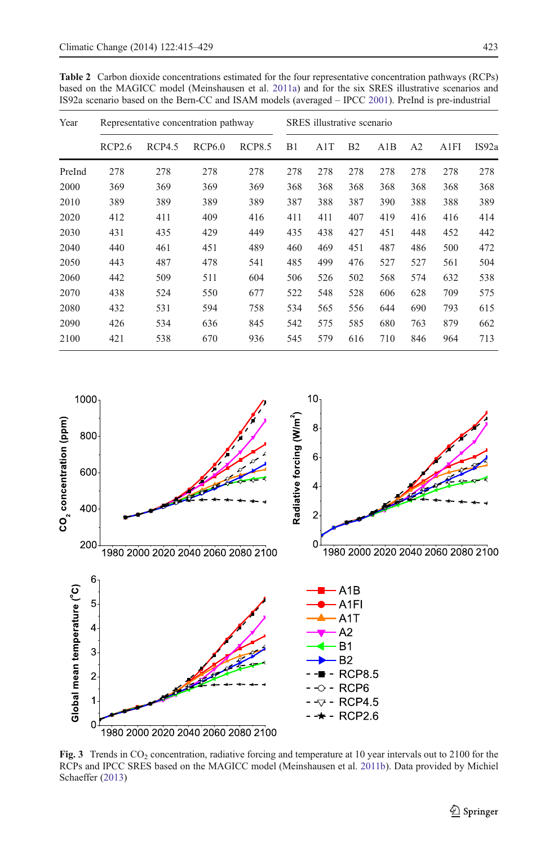<span id="page-8-0"></span>Table 2 Carbon dioxide concentrations estimated for the four representative concentration pathways (RCPs) based on the MAGICC model (Meinshausen et al. [2011a\)](#page-13-0) and for the six SRES illustrative scenarios and IS92a scenario based on the Bern-CC and ISAM models (averaged – IPCC [2001](#page-13-0)). PreInd is pre-industrial

| Year   | Representative concentration pathway |        |               |               | SRES illustrative scenario |     |                |     |                |      |       |
|--------|--------------------------------------|--------|---------------|---------------|----------------------------|-----|----------------|-----|----------------|------|-------|
|        | RCP2.6                               | RCP4.5 | <b>RCP6.0</b> | <b>RCP8.5</b> | B1                         | A1T | B <sub>2</sub> | A1B | A <sub>2</sub> | A1FI | IS92a |
| PreInd | 278                                  | 278    | 278           | 278           | 278                        | 278 | 278            | 278 | 278            | 278  | 278   |
| 2000   | 369                                  | 369    | 369           | 369           | 368                        | 368 | 368            | 368 | 368            | 368  | 368   |
| 2010   | 389                                  | 389    | 389           | 389           | 387                        | 388 | 387            | 390 | 388            | 388  | 389   |
| 2020   | 412                                  | 411    | 409           | 416           | 411                        | 411 | 407            | 419 | 416            | 416  | 414   |
| 2030   | 431                                  | 435    | 429           | 449           | 435                        | 438 | 427            | 451 | 448            | 452  | 442   |
| 2040   | 440                                  | 461    | 451           | 489           | 460                        | 469 | 451            | 487 | 486            | 500  | 472   |
| 2050   | 443                                  | 487    | 478           | 541           | 485                        | 499 | 476            | 527 | 527            | 561  | 504   |
| 2060   | 442                                  | 509    | 511           | 604           | 506                        | 526 | 502            | 568 | 574            | 632  | 538   |
| 2070   | 438                                  | 524    | 550           | 677           | 522                        | 548 | 528            | 606 | 628            | 709  | 575   |
| 2080   | 432                                  | 531    | 594           | 758           | 534                        | 565 | 556            | 644 | 690            | 793  | 615   |
| 2090   | 426                                  | 534    | 636           | 845           | 542                        | 575 | 585            | 680 | 763            | 879  | 662   |
| 2100   | 421                                  | 538    | 670           | 936           | 545                        | 579 | 616            | 710 | 846            | 964  | 713   |



Fig. 3 Trends in CO<sub>2</sub> concentration, radiative forcing and temperature at 10 year intervals out to 2100 for the RCPs and IPCC SRES based on the MAGICC model (Meinshausen et al. [2011b\)](#page-13-0). Data provided by Michiel Schaeffer ([2013\)](#page-14-0)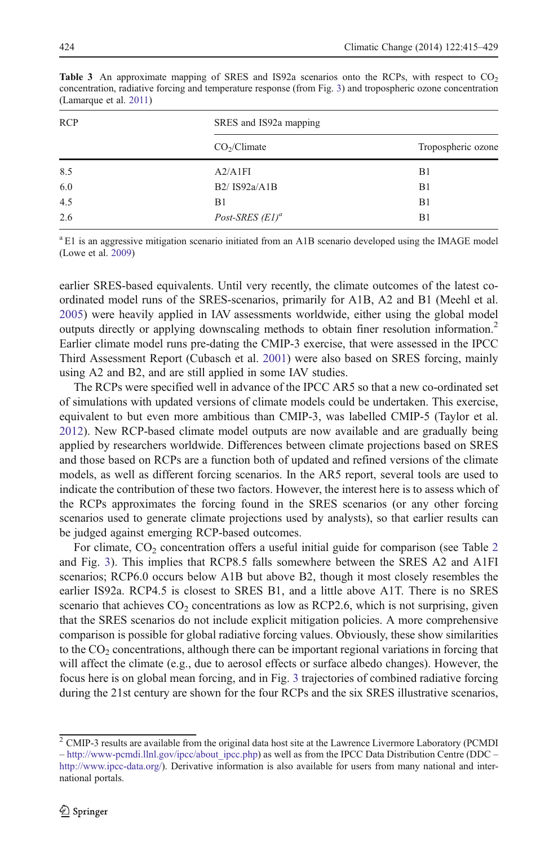| SRES and IS92a mapping                |                    |
|---------------------------------------|--------------------|
| CO <sub>2</sub> /Climate              | Tropospheric ozone |
| A2/A1FI                               | B1                 |
| B <sub>2</sub> / <sub>IS92a/A1B</sub> | B1                 |
| B1                                    | B1                 |
| Post-SRES $(E1)^a$                    | B1                 |
|                                       |                    |

<span id="page-9-0"></span>**Table 3** An approximate mapping of SRES and IS92a scenarios onto the RCPs, with respect to  $CO<sub>2</sub>$ concentration, radiative forcing and temperature response (from Fig. [3](#page-8-0)) and tropospheric ozone concentration (Lamarque et al. [2011](#page-13-0))

 $a_{1}$  E1 is an aggressive mitigation scenario initiated from an A1B scenario developed using the IMAGE model (Lowe et al. [2009\)](#page-13-0)

earlier SRES-based equivalents. Until very recently, the climate outcomes of the latest coordinated model runs of the SRES-scenarios, primarily for A1B, A2 and B1 (Meehl et al. [2005\)](#page-13-0) were heavily applied in IAV assessments worldwide, either using the global model outputs directly or applying downscaling methods to obtain finer resolution information.<sup>2</sup> Earlier climate model runs pre-dating the CMIP-3 exercise, that were assessed in the IPCC Third Assessment Report (Cubasch et al. [2001](#page-13-0)) were also based on SRES forcing, mainly using A2 and B2, and are still applied in some IAV studies.

The RCPs were specified well in advance of the IPCC AR5 so that a new co-ordinated set of simulations with updated versions of climate models could be undertaken. This exercise, equivalent to but even more ambitious than CMIP-3, was labelled CMIP-5 (Taylor et al. [2012\)](#page-14-0). New RCP-based climate model outputs are now available and are gradually being applied by researchers worldwide. Differences between climate projections based on SRES and those based on RCPs are a function both of updated and refined versions of the climate models, as well as different forcing scenarios. In the AR5 report, several tools are used to indicate the contribution of these two factors. However, the interest here is to assess which of the RCPs approximates the forcing found in the SRES scenarios (or any other forcing scenarios used to generate climate projections used by analysts), so that earlier results can be judged against emerging RCP-based outcomes.

For climate,  $CO<sub>2</sub>$  $CO<sub>2</sub>$  $CO<sub>2</sub>$  concentration offers a useful initial guide for comparison (see Table 2) and Fig. [3](#page-8-0)). This implies that RCP8.5 falls somewhere between the SRES A2 and A1FI scenarios; RCP6.0 occurs below A1B but above B2, though it most closely resembles the earlier IS92a. RCP4.5 is closest to SRES B1, and a little above A1T. There is no SRES scenario that achieves  $CO<sub>2</sub>$  concentrations as low as RCP2.6, which is not surprising, given that the SRES scenarios do not include explicit mitigation policies. A more comprehensive comparison is possible for global radiative forcing values. Obviously, these show similarities to the  $CO<sub>2</sub>$  concentrations, although there can be important regional variations in forcing that will affect the climate (e.g., due to aerosol effects or surface albedo changes). However, the focus here is on global mean forcing, and in Fig. [3](#page-8-0) trajectories of combined radiative forcing during the 21st century are shown for the four RCPs and the six SRES illustrative scenarios,

<sup>&</sup>lt;sup>2</sup> CMIP-3 results are available from the original data host site at the Lawrence Livermore Laboratory (PCMDI – [http://www-pcmdi.llnl.gov/ipcc/about\\_ipcc.php](http://www-pcmdi.llnl.gov/ipcc/about_ipcc.php)) as well as from the IPCC Data Distribution Centre (DDC – <http://www.ipcc-data.org/>). Derivative information is also available for users from many national and international portals.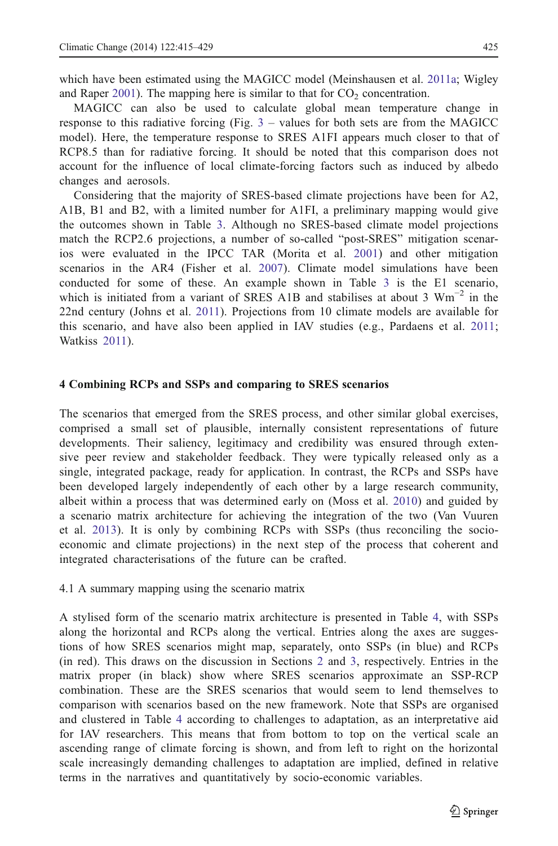<span id="page-10-0"></span>which have been estimated using the MAGICC model (Meinshausen et al. [2011a;](#page-13-0) Wigley and Raper [2001](#page-14-0)). The mapping here is similar to that for  $CO<sub>2</sub>$  concentration.

MAGICC can also be used to calculate global mean temperature change in response to this radiative forcing (Fig. [3](#page-8-0) – values for both sets are from the MAGICC model). Here, the temperature response to SRES A1FI appears much closer to that of RCP8.5 than for radiative forcing. It should be noted that this comparison does not account for the influence of local climate-forcing factors such as induced by albedo changes and aerosols.

Considering that the majority of SRES-based climate projections have been for A2, A1B, B1 and B2, with a limited number for A1FI, a preliminary mapping would give the outcomes shown in Table [3.](#page-9-0) Although no SRES-based climate model projections match the RCP2.6 projections, a number of so-called "post-SRES" mitigation scenarios were evaluated in the IPCC TAR (Morita et al. [2001](#page-13-0)) and other mitigation scenarios in the AR4 (Fisher et al. [2007](#page-13-0)). Climate model simulations have been conducted for some of these. An example shown in Table [3](#page-9-0) is the E1 scenario, which is initiated from a variant of SRES A1B and stabilises at about 3 Wm<sup>-2</sup> in the 22nd century (Johns et al. [2011](#page-13-0)). Projections from 10 climate models are available for this scenario, and have also been applied in IAV studies (e.g., Pardaens et al. [2011](#page-13-0); Watkiss [2011](#page-14-0)).

#### 4 Combining RCPs and SSPs and comparing to SRES scenarios

The scenarios that emerged from the SRES process, and other similar global exercises, comprised a small set of plausible, internally consistent representations of future developments. Their saliency, legitimacy and credibility was ensured through extensive peer review and stakeholder feedback. They were typically released only as a single, integrated package, ready for application. In contrast, the RCPs and SSPs have been developed largely independently of each other by a large research community, albeit within a process that was determined early on (Moss et al. [2010](#page-13-0)) and guided by a scenario matrix architecture for achieving the integration of the two (Van Vuuren et al. [2013](#page-14-0)). It is only by combining RCPs with SSPs (thus reconciling the socioeconomic and climate projections) in the next step of the process that coherent and integrated characterisations of the future can be crafted.

4.1 A summary mapping using the scenario matrix

A stylised form of the scenario matrix architecture is presented in Table [4,](#page-11-0) with SSPs along the horizontal and RCPs along the vertical. Entries along the axes are suggestions of how SRES scenarios might map, separately, onto SSPs (in blue) and RCPs (in red). This draws on the discussion in Sections [2](#page-2-0) and [3,](#page-6-0) respectively. Entries in the matrix proper (in black) show where SRES scenarios approximate an SSP-RCP combination. These are the SRES scenarios that would seem to lend themselves to comparison with scenarios based on the new framework. Note that SSPs are organised and clustered in Table [4](#page-11-0) according to challenges to adaptation, as an interpretative aid for IAV researchers. This means that from bottom to top on the vertical scale an ascending range of climate forcing is shown, and from left to right on the horizontal scale increasingly demanding challenges to adaptation are implied, defined in relative terms in the narratives and quantitatively by socio-economic variables.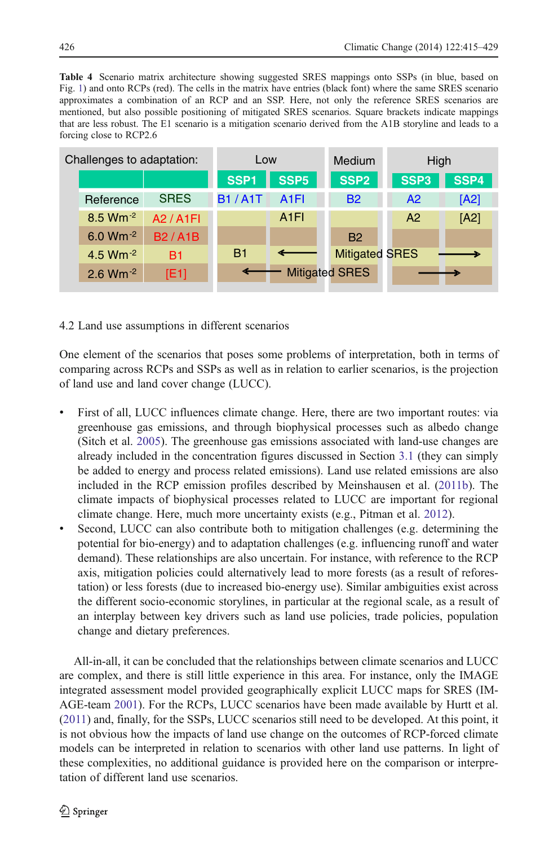<span id="page-11-0"></span>Table 4 Scenario matrix architecture showing suggested SRES mappings onto SSPs (in blue, based on Fig. [1](#page-3-0)) and onto RCPs (red). The cells in the matrix have entries (black font) where the same SRES scenario approximates a combination of an RCP and an SSP. Here, not only the reference SRES scenarios are mentioned, but also possible positioning of mitigated SRES scenarios. Square brackets indicate mappings that are less robust. The E1 scenario is a mitigation scenario derived from the A1B storyline and leads to a forcing close to RCP2.6

| Challenges to adaptation: |                        |               | Low           |                  | Medium                | High             |      |  |
|---------------------------|------------------------|---------------|---------------|------------------|-----------------------|------------------|------|--|
|                           |                        |               | SSP1          | SSP <sub>5</sub> | SSP <sub>2</sub>      | SSP <sub>3</sub> | SSP4 |  |
|                           | Reference              | <b>SRES</b>   | <b>B1/A1T</b> | A <sub>1FI</sub> | <b>B2</b>             | A2               | [A2] |  |
|                           | $8.5$ Wm <sup>-2</sup> | A2 / A1FI     |               | A <sub>1FI</sub> |                       | A2               | [A2] |  |
|                           | 6.0 Wm $^{-2}$         | <b>B2/A1B</b> |               |                  | <b>B2</b>             |                  |      |  |
|                           | 4.5 $Wm^{-2}$          | <b>B1</b>     | B1            |                  | <b>Mitigated SRES</b> |                  |      |  |
|                           | $2.6$ Wm $^{-2}$       | [E1]          |               |                  | <b>Mitigated SRES</b> |                  |      |  |
|                           |                        |               |               |                  |                       |                  |      |  |

# 4.2 Land use assumptions in different scenarios

One element of the scenarios that poses some problems of interpretation, both in terms of comparing across RCPs and SSPs as well as in relation to earlier scenarios, is the projection of land use and land cover change (LUCC).

- First of all, LUCC influences climate change. Here, there are two important routes: via greenhouse gas emissions, and through biophysical processes such as albedo change (Sitch et al. [2005\)](#page-14-0). The greenhouse gas emissions associated with land-use changes are already included in the concentration figures discussed in Section [3.1](#page-7-0) (they can simply be added to energy and process related emissions). Land use related emissions are also included in the RCP emission profiles described by Meinshausen et al. ([2011b\)](#page-13-0). The climate impacts of biophysical processes related to LUCC are important for regional climate change. Here, much more uncertainty exists (e.g., Pitman et al. [2012](#page-13-0)).
- Second, LUCC can also contribute both to mitigation challenges (e.g. determining the potential for bio-energy) and to adaptation challenges (e.g. influencing runoff and water demand). These relationships are also uncertain. For instance, with reference to the RCP axis, mitigation policies could alternatively lead to more forests (as a result of reforestation) or less forests (due to increased bio-energy use). Similar ambiguities exist across the different socio-economic storylines, in particular at the regional scale, as a result of an interplay between key drivers such as land use policies, trade policies, population change and dietary preferences.

All-in-all, it can be concluded that the relationships between climate scenarios and LUCC are complex, and there is still little experience in this area. For instance, only the IMAGE integrated assessment model provided geographically explicit LUCC maps for SRES (IM-AGE-team [2001\)](#page-13-0). For the RCPs, LUCC scenarios have been made available by Hurtt et al. ([2011](#page-13-0)) and, finally, for the SSPs, LUCC scenarios still need to be developed. At this point, it is not obvious how the impacts of land use change on the outcomes of RCP-forced climate models can be interpreted in relation to scenarios with other land use patterns. In light of these complexities, no additional guidance is provided here on the comparison or interpretation of different land use scenarios.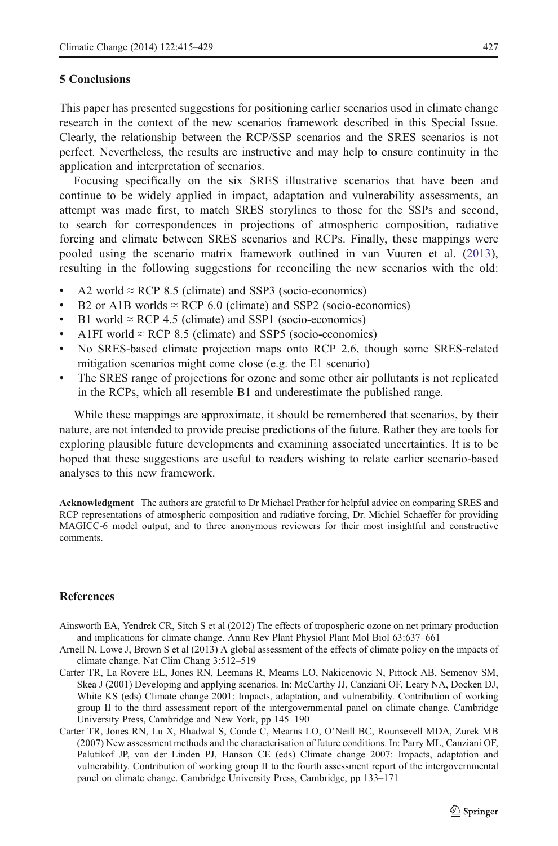#### <span id="page-12-0"></span>5 Conclusions

This paper has presented suggestions for positioning earlier scenarios used in climate change research in the context of the new scenarios framework described in this Special Issue. Clearly, the relationship between the RCP/SSP scenarios and the SRES scenarios is not perfect. Nevertheless, the results are instructive and may help to ensure continuity in the application and interpretation of scenarios.

Focusing specifically on the six SRES illustrative scenarios that have been and continue to be widely applied in impact, adaptation and vulnerability assessments, an attempt was made first, to match SRES storylines to those for the SSPs and second, to search for correspondences in projections of atmospheric composition, radiative forcing and climate between SRES scenarios and RCPs. Finally, these mappings were pooled using the scenario matrix framework outlined in van Vuuren et al. ([2013](#page-14-0)), resulting in the following suggestions for reconciling the new scenarios with the old:

- $\triangle$  A2 world  $\approx$  RCP 8.5 (climate) and SSP3 (socio-economics)
- B2 or A1B worlds  $\approx$  RCP 6.0 (climate) and SSP2 (socio-economics)
- B1 world  $\approx$  RCP 4.5 (climate) and SSP1 (socio-economics)
- A1FI world  $\approx$  RCP 8.5 (climate) and SSP5 (socio-economics)
- No SRES-based climate projection maps onto RCP 2.6, though some SRES-related mitigation scenarios might come close (e.g. the E1 scenario)
- & The SRES range of projections for ozone and some other air pollutants is not replicated in the RCPs, which all resemble B1 and underestimate the published range.

While these mappings are approximate, it should be remembered that scenarios, by their nature, are not intended to provide precise predictions of the future. Rather they are tools for exploring plausible future developments and examining associated uncertainties. It is to be hoped that these suggestions are useful to readers wishing to relate earlier scenario-based analyses to this new framework.

Acknowledgment The authors are grateful to Dr Michael Prather for helpful advice on comparing SRES and RCP representations of atmospheric composition and radiative forcing, Dr. Michiel Schaeffer for providing MAGICC-6 model output, and to three anonymous reviewers for their most insightful and constructive comments.

## **References**

- Ainsworth EA, Yendrek CR, Sitch S et al (2012) The effects of tropospheric ozone on net primary production and implications for climate change. Annu Rev Plant Physiol Plant Mol Biol 63:637–661
- Arnell N, Lowe J, Brown S et al (2013) A global assessment of the effects of climate policy on the impacts of climate change. Nat Clim Chang 3:512–519
- Carter TR, La Rovere EL, Jones RN, Leemans R, Mearns LO, Nakicenovic N, Pittock AB, Semenov SM, Skea J (2001) Developing and applying scenarios. In: McCarthy JJ, Canziani OF, Leary NA, Docken DJ, White KS (eds) Climate change 2001: Impacts, adaptation, and vulnerability. Contribution of working group II to the third assessment report of the intergovernmental panel on climate change. Cambridge University Press, Cambridge and New York, pp 145–190
- Carter TR, Jones RN, Lu X, Bhadwal S, Conde C, Mearns LO, O'Neill BC, Rounsevell MDA, Zurek MB (2007) New assessment methods and the characterisation of future conditions. In: Parry ML, Canziani OF, Palutikof JP, van der Linden PJ, Hanson CE (eds) Climate change 2007: Impacts, adaptation and vulnerability. Contribution of working group II to the fourth assessment report of the intergovernmental panel on climate change. Cambridge University Press, Cambridge, pp 133–171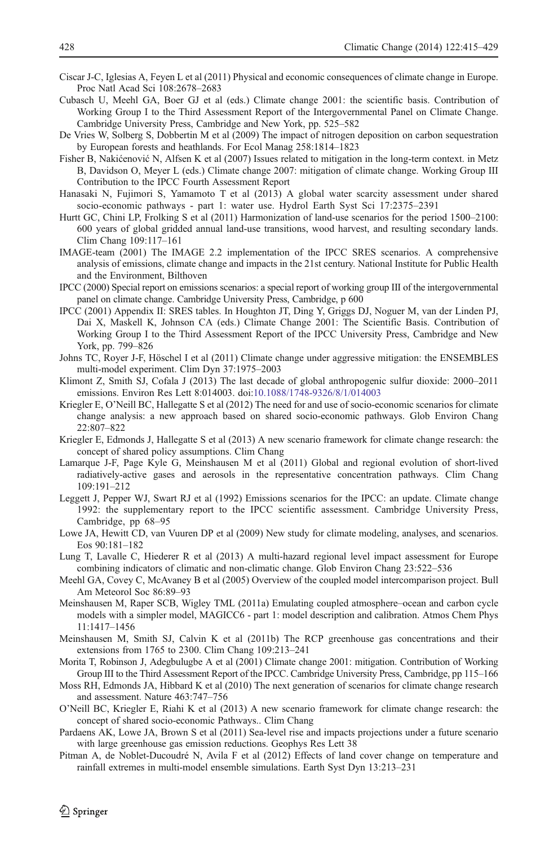- <span id="page-13-0"></span>Ciscar J-C, Iglesias A, Feyen L et al (2011) Physical and economic consequences of climate change in Europe. Proc Natl Acad Sci 108:2678–2683
- Cubasch U, Meehl GA, Boer GJ et al (eds.) Climate change 2001: the scientific basis. Contribution of Working Group I to the Third Assessment Report of the Intergovernmental Panel on Climate Change. Cambridge University Press, Cambridge and New York, pp. 525–582
- De Vries W, Solberg S, Dobbertin M et al (2009) The impact of nitrogen deposition on carbon sequestration by European forests and heathlands. For Ecol Manag 258:1814–1823
- Fisher B, Nakićenović N, Alfsen K et al (2007) Issues related to mitigation in the long-term context. in Metz B, Davidson O, Meyer L (eds.) Climate change 2007: mitigation of climate change. Working Group III Contribution to the IPCC Fourth Assessment Report
- Hanasaki N, Fujimori S, Yamamoto T et al (2013) A global water scarcity assessment under shared socio-economic pathways - part 1: water use. Hydrol Earth Syst Sci 17:2375–2391
- Hurtt GC, Chini LP, Frolking S et al (2011) Harmonization of land-use scenarios for the period 1500–2100: 600 years of global gridded annual land-use transitions, wood harvest, and resulting secondary lands. Clim Chang 109:117–161
- IMAGE-team (2001) The IMAGE 2.2 implementation of the IPCC SRES scenarios. A comprehensive analysis of emissions, climate change and impacts in the 21st century. National Institute for Public Health and the Environment, Bilthoven
- IPCC (2000) Special report on emissions scenarios: a special report of working group III of the intergovernmental panel on climate change. Cambridge University Press, Cambridge, p 600
- IPCC (2001) Appendix II: SRES tables. In Houghton JT, Ding Y, Griggs DJ, Noguer M, van der Linden PJ, Dai X, Maskell K, Johnson CA (eds.) Climate Change 2001: The Scientific Basis. Contribution of Working Group I to the Third Assessment Report of the IPCC University Press, Cambridge and New York, pp. 799–826
- Johns TC, Royer J-F, Höschel I et al (2011) Climate change under aggressive mitigation: the ENSEMBLES multi-model experiment. Clim Dyn 37:1975–2003
- Klimont Z, Smith SJ, Cofala J (2013) The last decade of global anthropogenic sulfur dioxide: 2000–2011 emissions. Environ Res Lett 8:014003. doi:[10.1088/1748-9326/8/1/014003](http://dx.doi.org/10.1088/1748-9326/8/1/014003)
- Kriegler E, O'Neill BC, Hallegatte S et al (2012) The need for and use of socio-economic scenarios for climate change analysis: a new approach based on shared socio-economic pathways. Glob Environ Chang 22:807–822
- Kriegler E, Edmonds J, Hallegatte S et al (2013) A new scenario framework for climate change research: the concept of shared policy assumptions. Clim Chang
- Lamarque J-F, Page Kyle G, Meinshausen M et al (2011) Global and regional evolution of short-lived radiatively-active gases and aerosols in the representative concentration pathways. Clim Chang 109:191–212
- Leggett J, Pepper WJ, Swart RJ et al (1992) Emissions scenarios for the IPCC: an update. Climate change 1992: the supplementary report to the IPCC scientific assessment. Cambridge University Press, Cambridge, pp 68–95
- Lowe JA, Hewitt CD, van Vuuren DP et al (2009) New study for climate modeling, analyses, and scenarios. Eos 90:181–182
- Lung T, Lavalle C, Hiederer R et al (2013) A multi-hazard regional level impact assessment for Europe combining indicators of climatic and non-climatic change. Glob Environ Chang 23:522–536
- Meehl GA, Covey C, McAvaney B et al (2005) Overview of the coupled model intercomparison project. Bull Am Meteorol Soc 86:89–93
- Meinshausen M, Raper SCB, Wigley TML (2011a) Emulating coupled atmosphere–ocean and carbon cycle models with a simpler model, MAGICC6 - part 1: model description and calibration. Atmos Chem Phys 11:1417–1456
- Meinshausen M, Smith SJ, Calvin K et al (2011b) The RCP greenhouse gas concentrations and their extensions from 1765 to 2300. Clim Chang 109:213–241
- Morita T, Robinson J, Adegbulugbe A et al (2001) Climate change 2001: mitigation. Contribution of Working Group III to the Third Assessment Report of the IPCC. Cambridge University Press, Cambridge, pp 115–166
- Moss RH, Edmonds JA, Hibbard K et al (2010) The next generation of scenarios for climate change research and assessment. Nature 463:747–756
- O'Neill BC, Kriegler E, Riahi K et al (2013) A new scenario framework for climate change research: the concept of shared socio-economic Pathways.. Clim Chang
- Pardaens AK, Lowe JA, Brown S et al (2011) Sea-level rise and impacts projections under a future scenario with large greenhouse gas emission reductions. Geophys Res Lett 38
- Pitman A, de Noblet-Ducoudré N, Avila F et al (2012) Effects of land cover change on temperature and rainfall extremes in multi-model ensemble simulations. Earth Syst Dyn 13:213–231